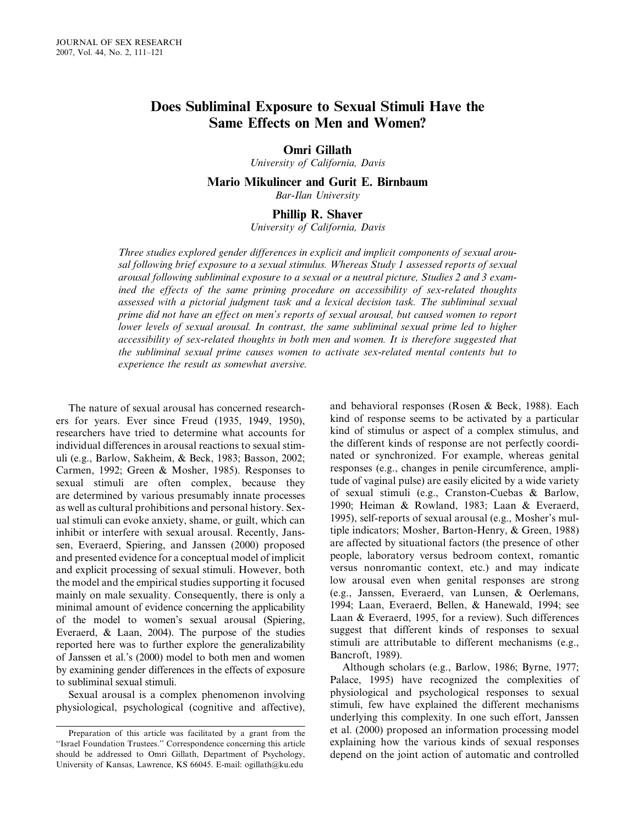# Does Subliminal Exposure to Sexual Stimuli Have the Same Effects on Men and Women?

## Omri Gillath

University of California, Davis

## Mario Mikulincer and Gurit E. Birnbaum

Bar-Ilan University

## Phillip R. Shaver

University of California, Davis

Three studies explored gender differences in explicit and implicit components of sexual arousal following brief exposure to a sexual stimulus. Whereas Study 1 assessed reports of sexual arousal following subliminal exposure to a sexual or a neutral picture, Studies 2 and 3 examined the effects of the same priming procedure on accessibility of sex-related thoughts assessed with a pictorial judgment task and a lexical decision task. The subliminal sexual prime did not have an effect on men's reports of sexual arousal, but caused women to report lower levels of sexual arousal. In contrast, the same subliminal sexual prime led to higher accessibility of sex-related thoughts in both men and women. It is therefore suggested that the subliminal sexual prime causes women to activate sex-related mental contents but to experience the result as somewhat aversive.

The nature of sexual arousal has concerned researchers for years. Ever since Freud (1935, 1949, 1950), researchers have tried to determine what accounts for individual differences in arousal reactions to sexual stimuli (e.g., Barlow, Sakheim, & Beck, 1983; Basson, 2002; Carmen, 1992; Green & Mosher, 1985). Responses to sexual stimuli are often complex, because they are determined by various presumably innate processes as well as cultural prohibitions and personal history. Sexual stimuli can evoke anxiety, shame, or guilt, which can inhibit or interfere with sexual arousal. Recently, Janssen, Everaerd, Spiering, and Janssen (2000) proposed and presented evidence for a conceptual model of implicit and explicit processing of sexual stimuli. However, both the model and the empirical studies supporting it focused mainly on male sexuality. Consequently, there is only a minimal amount of evidence concerning the applicability of the model to women's sexual arousal (Spiering, Everaerd, & Laan, 2004). The purpose of the studies reported here was to further explore the generalizability of Janssen et al.'s (2000) model to both men and women by examining gender differences in the effects of exposure to subliminal sexual stimuli.

Sexual arousal is a complex phenomenon involving physiological, psychological (cognitive and affective),

and behavioral responses (Rosen & Beck, 1988). Each kind of response seems to be activated by a particular kind of stimulus or aspect of a complex stimulus, and the different kinds of response are not perfectly coordinated or synchronized. For example, whereas genital responses (e.g., changes in penile circumference, amplitude of vaginal pulse) are easily elicited by a wide variety of sexual stimuli (e.g., Cranston-Cuebas & Barlow, 1990; Heiman & Rowland, 1983; Laan & Everaerd, 1995), self-reports of sexual arousal (e.g., Mosher's multiple indicators; Mosher, Barton-Henry, & Green, 1988) are affected by situational factors (the presence of other people, laboratory versus bedroom context, romantic versus nonromantic context, etc.) and may indicate low arousal even when genital responses are strong (e.g., Janssen, Everaerd, van Lunsen, & Oerlemans, 1994; Laan, Everaerd, Bellen, & Hanewald, 1994; see Laan & Everaerd, 1995, for a review). Such differences suggest that different kinds of responses to sexual stimuli are attributable to different mechanisms (e.g., Bancroft, 1989).

Although scholars (e.g., Barlow, 1986; Byrne, 1977; Palace, 1995) have recognized the complexities of physiological and psychological responses to sexual stimuli, few have explained the different mechanisms underlying this complexity. In one such effort, Janssen et al. (2000) proposed an information processing model explaining how the various kinds of sexual responses depend on the joint action of automatic and controlled

Preparation of this article was facilitated by a grant from the ''Israel Foundation Trustees.'' Correspondence concerning this article should be addressed to Omri Gillath, Department of Psychology, University of Kansas, Lawrence, KS 66045. E-mail: ogillath@ku.edu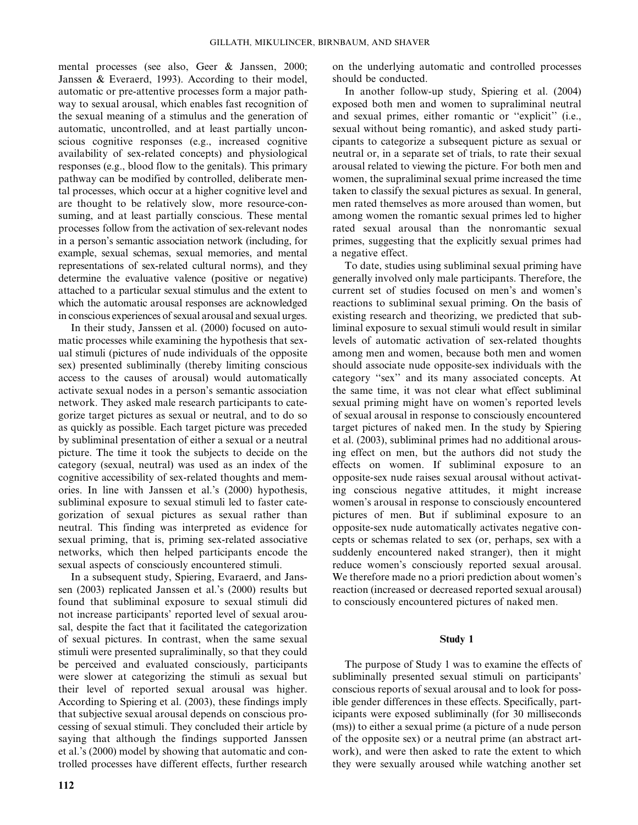mental processes (see also, Geer & Janssen, 2000; Janssen & Everaerd, 1993). According to their model, automatic or pre-attentive processes form a major pathway to sexual arousal, which enables fast recognition of the sexual meaning of a stimulus and the generation of automatic, uncontrolled, and at least partially unconscious cognitive responses (e.g., increased cognitive availability of sex-related concepts) and physiological responses (e.g., blood flow to the genitals). This primary pathway can be modified by controlled, deliberate mental processes, which occur at a higher cognitive level and are thought to be relatively slow, more resource-consuming, and at least partially conscious. These mental processes follow from the activation of sex-relevant nodes in a person's semantic association network (including, for example, sexual schemas, sexual memories, and mental representations of sex-related cultural norms), and they determine the evaluative valence (positive or negative) attached to a particular sexual stimulus and the extent to which the automatic arousal responses are acknowledged in conscious experiences of sexual arousal and sexual urges.

In their study, Janssen et al. (2000) focused on automatic processes while examining the hypothesis that sexual stimuli (pictures of nude individuals of the opposite sex) presented subliminally (thereby limiting conscious access to the causes of arousal) would automatically activate sexual nodes in a person's semantic association network. They asked male research participants to categorize target pictures as sexual or neutral, and to do so as quickly as possible. Each target picture was preceded by subliminal presentation of either a sexual or a neutral picture. The time it took the subjects to decide on the category (sexual, neutral) was used as an index of the cognitive accessibility of sex-related thoughts and memories. In line with Janssen et al.'s (2000) hypothesis, subliminal exposure to sexual stimuli led to faster categorization of sexual pictures as sexual rather than neutral. This finding was interpreted as evidence for sexual priming, that is, priming sex-related associative networks, which then helped participants encode the sexual aspects of consciously encountered stimuli.

In a subsequent study, Spiering, Evaraerd, and Janssen (2003) replicated Janssen et al.'s (2000) results but found that subliminal exposure to sexual stimuli did not increase participants' reported level of sexual arousal, despite the fact that it facilitated the categorization of sexual pictures. In contrast, when the same sexual stimuli were presented supraliminally, so that they could be perceived and evaluated consciously, participants were slower at categorizing the stimuli as sexual but their level of reported sexual arousal was higher. According to Spiering et al. (2003), these findings imply that subjective sexual arousal depends on conscious processing of sexual stimuli. They concluded their article by saying that although the findings supported Janssen et al.'s (2000) model by showing that automatic and controlled processes have different effects, further research

112

on the underlying automatic and controlled processes should be conducted.

In another follow-up study, Spiering et al. (2004) exposed both men and women to supraliminal neutral and sexual primes, either romantic or ''explicit'' (i.e., sexual without being romantic), and asked study participants to categorize a subsequent picture as sexual or neutral or, in a separate set of trials, to rate their sexual arousal related to viewing the picture. For both men and women, the supraliminal sexual prime increased the time taken to classify the sexual pictures as sexual. In general, men rated themselves as more aroused than women, but among women the romantic sexual primes led to higher rated sexual arousal than the nonromantic sexual primes, suggesting that the explicitly sexual primes had a negative effect.

To date, studies using subliminal sexual priming have generally involved only male participants. Therefore, the current set of studies focused on men's and women's reactions to subliminal sexual priming. On the basis of existing research and theorizing, we predicted that subliminal exposure to sexual stimuli would result in similar levels of automatic activation of sex-related thoughts among men and women, because both men and women should associate nude opposite-sex individuals with the category ''sex'' and its many associated concepts. At the same time, it was not clear what effect subliminal sexual priming might have on women's reported levels of sexual arousal in response to consciously encountered target pictures of naked men. In the study by Spiering et al. (2003), subliminal primes had no additional arousing effect on men, but the authors did not study the effects on women. If subliminal exposure to an opposite-sex nude raises sexual arousal without activating conscious negative attitudes, it might increase women's arousal in response to consciously encountered pictures of men. But if subliminal exposure to an opposite-sex nude automatically activates negative concepts or schemas related to sex (or, perhaps, sex with a suddenly encountered naked stranger), then it might reduce women's consciously reported sexual arousal. We therefore made no a priori prediction about women's reaction (increased or decreased reported sexual arousal) to consciously encountered pictures of naked men.

## Study 1

The purpose of Study 1 was to examine the effects of subliminally presented sexual stimuli on participants' conscious reports of sexual arousal and to look for possible gender differences in these effects. Specifically, participants were exposed subliminally (for 30 milliseconds (ms)) to either a sexual prime (a picture of a nude person of the opposite sex) or a neutral prime (an abstract artwork), and were then asked to rate the extent to which they were sexually aroused while watching another set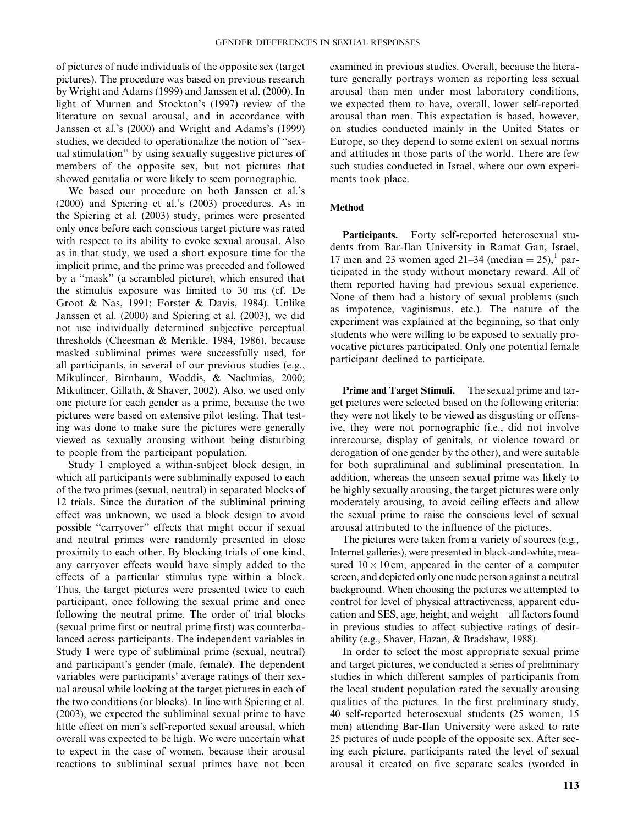of pictures of nude individuals of the opposite sex (target pictures). The procedure was based on previous research by Wright and Adams (1999) and Janssen et al. (2000). In light of Murnen and Stockton's (1997) review of the literature on sexual arousal, and in accordance with Janssen et al.'s (2000) and Wright and Adams's (1999) studies, we decided to operationalize the notion of ''sexual stimulation'' by using sexually suggestive pictures of members of the opposite sex, but not pictures that showed genitalia or were likely to seem pornographic.

We based our procedure on both Janssen et al.'s (2000) and Spiering et al.'s (2003) procedures. As in the Spiering et al. (2003) study, primes were presented only once before each conscious target picture was rated with respect to its ability to evoke sexual arousal. Also as in that study, we used a short exposure time for the implicit prime, and the prime was preceded and followed by a ''mask'' (a scrambled picture), which ensured that the stimulus exposure was limited to 30 ms (cf. De Groot & Nas, 1991; Forster & Davis, 1984). Unlike Janssen et al. (2000) and Spiering et al. (2003), we did not use individually determined subjective perceptual thresholds (Cheesman & Merikle, 1984, 1986), because masked subliminal primes were successfully used, for all participants, in several of our previous studies (e.g., Mikulincer, Birnbaum, Woddis, & Nachmias, 2000; Mikulincer, Gillath, & Shaver, 2002). Also, we used only one picture for each gender as a prime, because the two pictures were based on extensive pilot testing. That testing was done to make sure the pictures were generally viewed as sexually arousing without being disturbing to people from the participant population.

Study 1 employed a within-subject block design, in which all participants were subliminally exposed to each of the two primes (sexual, neutral) in separated blocks of 12 trials. Since the duration of the subliminal priming effect was unknown, we used a block design to avoid possible ''carryover'' effects that might occur if sexual and neutral primes were randomly presented in close proximity to each other. By blocking trials of one kind, any carryover effects would have simply added to the effects of a particular stimulus type within a block. Thus, the target pictures were presented twice to each participant, once following the sexual prime and once following the neutral prime. The order of trial blocks (sexual prime first or neutral prime first) was counterbalanced across participants. The independent variables in Study 1 were type of subliminal prime (sexual, neutral) and participant's gender (male, female). The dependent variables were participants' average ratings of their sexual arousal while looking at the target pictures in each of the two conditions (or blocks). In line with Spiering et al. (2003), we expected the subliminal sexual prime to have little effect on men's self-reported sexual arousal, which overall was expected to be high. We were uncertain what to expect in the case of women, because their arousal reactions to subliminal sexual primes have not been

examined in previous studies. Overall, because the literature generally portrays women as reporting less sexual arousal than men under most laboratory conditions, we expected them to have, overall, lower self-reported arousal than men. This expectation is based, however, on studies conducted mainly in the United States or Europe, so they depend to some extent on sexual norms and attitudes in those parts of the world. There are few such studies conducted in Israel, where our own experiments took place.

## Method

Participants. Forty self-reported heterosexual students from Bar-Ilan University in Ramat Gan, Israel, 17 men and 23 women aged 21–34 (median  $= 25$ ),<sup>1</sup> participated in the study without monetary reward. All of them reported having had previous sexual experience. None of them had a history of sexual problems (such as impotence, vaginismus, etc.). The nature of the experiment was explained at the beginning, so that only students who were willing to be exposed to sexually provocative pictures participated. Only one potential female participant declined to participate.

Prime and Target Stimuli. The sexual prime and target pictures were selected based on the following criteria: they were not likely to be viewed as disgusting or offensive, they were not pornographic (i.e., did not involve intercourse, display of genitals, or violence toward or derogation of one gender by the other), and were suitable for both supraliminal and subliminal presentation. In addition, whereas the unseen sexual prime was likely to be highly sexually arousing, the target pictures were only moderately arousing, to avoid ceiling effects and allow the sexual prime to raise the conscious level of sexual arousal attributed to the influence of the pictures.

The pictures were taken from a variety of sources (e.g., Internet galleries), were presented in black-and-white, measured  $10 \times 10$  cm, appeared in the center of a computer screen, and depicted only one nude person against a neutral background. When choosing the pictures we attempted to control for level of physical attractiveness, apparent education and SES, age, height, and weight—all factors found in previous studies to affect subjective ratings of desirability (e.g., Shaver, Hazan, & Bradshaw, 1988).

In order to select the most appropriate sexual prime and target pictures, we conducted a series of preliminary studies in which different samples of participants from the local student population rated the sexually arousing qualities of the pictures. In the first preliminary study, 40 self-reported heterosexual students (25 women, 15 men) attending Bar-Ilan University were asked to rate 25 pictures of nude people of the opposite sex. After seeing each picture, participants rated the level of sexual arousal it created on five separate scales (worded in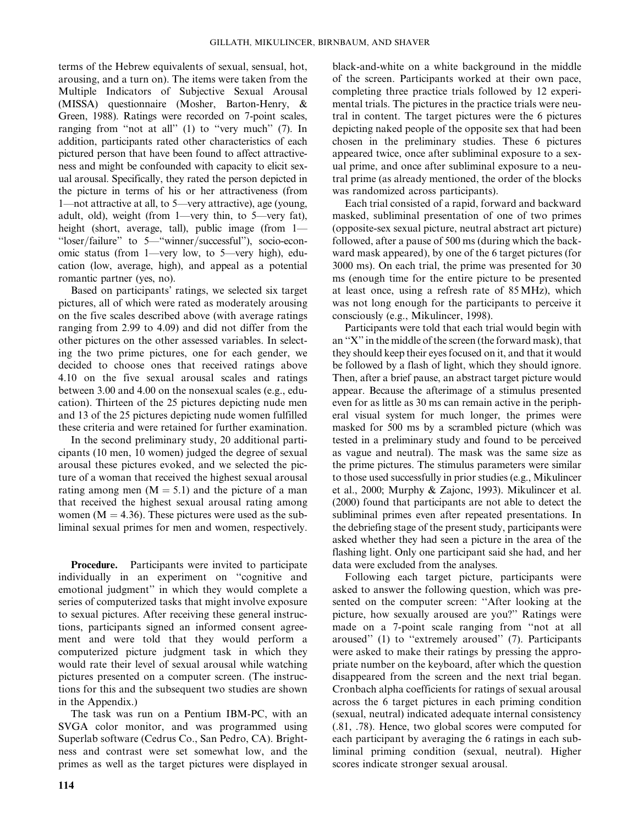terms of the Hebrew equivalents of sexual, sensual, hot, arousing, and a turn on). The items were taken from the Multiple Indicators of Subjective Sexual Arousal (MISSA) questionnaire (Mosher, Barton-Henry, & Green, 1988). Ratings were recorded on 7-point scales, ranging from "not at all"  $(1)$  to "very much"  $(7)$ . In addition, participants rated other characteristics of each pictured person that have been found to affect attractiveness and might be confounded with capacity to elicit sexual arousal. Specifically, they rated the person depicted in the picture in terms of his or her attractiveness (from 1—not attractive at all, to 5—very attractive), age (young, adult, old), weight (from 1—very thin, to 5—very fat), height (short, average, tall), public image (from 1— "loser/failure" to 5—"winner/successful"), socio-economic status (from 1—very low, to 5—very high), education (low, average, high), and appeal as a potential romantic partner (yes, no).

Based on participants' ratings, we selected six target pictures, all of which were rated as moderately arousing on the five scales described above (with average ratings ranging from 2.99 to 4.09) and did not differ from the other pictures on the other assessed variables. In selecting the two prime pictures, one for each gender, we decided to choose ones that received ratings above 4.10 on the five sexual arousal scales and ratings between 3.00 and 4.00 on the nonsexual scales (e.g., education). Thirteen of the 25 pictures depicting nude men and 13 of the 25 pictures depicting nude women fulfilled these criteria and were retained for further examination.

In the second preliminary study, 20 additional participants (10 men, 10 women) judged the degree of sexual arousal these pictures evoked, and we selected the picture of a woman that received the highest sexual arousal rating among men  $(M = 5.1)$  and the picture of a man that received the highest sexual arousal rating among women ( $M = 4.36$ ). These pictures were used as the subliminal sexual primes for men and women, respectively.

Procedure. Participants were invited to participate individually in an experiment on ''cognitive and emotional judgment'' in which they would complete a series of computerized tasks that might involve exposure to sexual pictures. After receiving these general instructions, participants signed an informed consent agreement and were told that they would perform a computerized picture judgment task in which they would rate their level of sexual arousal while watching pictures presented on a computer screen. (The instructions for this and the subsequent two studies are shown in the Appendix.)

The task was run on a Pentium IBM-PC, with an SVGA color monitor, and was programmed using Superlab software (Cedrus Co., San Pedro, CA). Brightness and contrast were set somewhat low, and the primes as well as the target pictures were displayed in black-and-white on a white background in the middle of the screen. Participants worked at their own pace, completing three practice trials followed by 12 experimental trials. The pictures in the practice trials were neutral in content. The target pictures were the 6 pictures depicting naked people of the opposite sex that had been chosen in the preliminary studies. These 6 pictures appeared twice, once after subliminal exposure to a sexual prime, and once after subliminal exposure to a neutral prime (as already mentioned, the order of the blocks was randomized across participants).

Each trial consisted of a rapid, forward and backward masked, subliminal presentation of one of two primes (opposite-sex sexual picture, neutral abstract art picture) followed, after a pause of 500 ms (during which the backward mask appeared), by one of the 6 target pictures (for 3000 ms). On each trial, the prime was presented for 30 ms (enough time for the entire picture to be presented at least once, using a refresh rate of 85 MHz), which was not long enough for the participants to perceive it consciously (e.g., Mikulincer, 1998).

Participants were told that each trial would begin with an ''X'' in the middle of the screen (the forward mask), that they should keep their eyes focused on it, and that it would be followed by a flash of light, which they should ignore. Then, after a brief pause, an abstract target picture would appear. Because the afterimage of a stimulus presented even for as little as 30 ms can remain active in the peripheral visual system for much longer, the primes were masked for 500 ms by a scrambled picture (which was tested in a preliminary study and found to be perceived as vague and neutral). The mask was the same size as the prime pictures. The stimulus parameters were similar to those used successfully in prior studies (e.g., Mikulincer et al., 2000; Murphy & Zajonc, 1993). Mikulincer et al. (2000) found that participants are not able to detect the subliminal primes even after repeated presentations. In the debriefing stage of the present study, participants were asked whether they had seen a picture in the area of the flashing light. Only one participant said she had, and her data were excluded from the analyses.

Following each target picture, participants were asked to answer the following question, which was presented on the computer screen: ''After looking at the picture, how sexually aroused are you?'' Ratings were made on a 7-point scale ranging from "not at all aroused'' (1) to ''extremely aroused'' (7). Participants were asked to make their ratings by pressing the appropriate number on the keyboard, after which the question disappeared from the screen and the next trial began. Cronbach alpha coefficients for ratings of sexual arousal across the 6 target pictures in each priming condition (sexual, neutral) indicated adequate internal consistency (.81, .78). Hence, two global scores were computed for each participant by averaging the 6 ratings in each subliminal priming condition (sexual, neutral). Higher scores indicate stronger sexual arousal.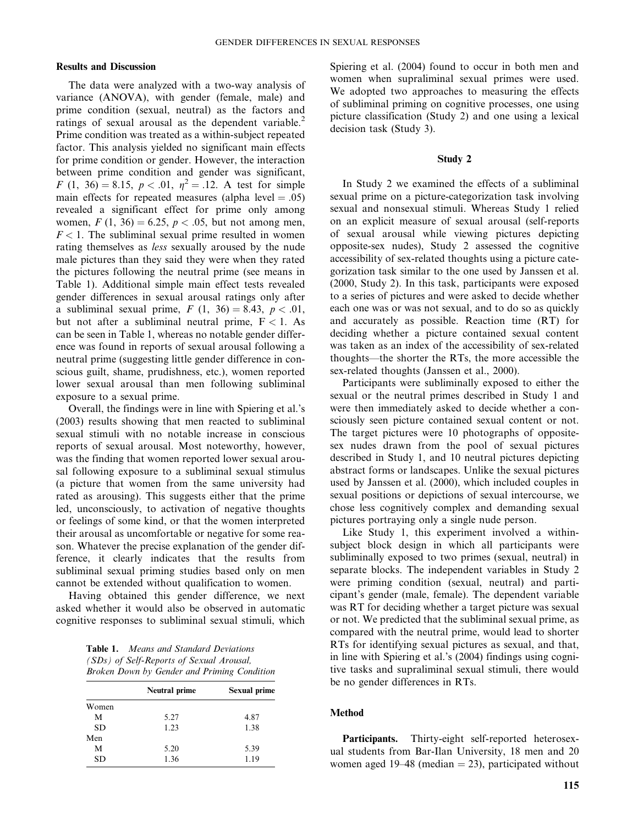#### Results and Discussion

The data were analyzed with a two-way analysis of variance (ANOVA), with gender (female, male) and prime condition (sexual, neutral) as the factors and ratings of sexual arousal as the dependent variable.<sup>2</sup> Prime condition was treated as a within-subject repeated factor. This analysis yielded no significant main effects for prime condition or gender. However, the interaction between prime condition and gender was significant, F (1, 36) = 8.15,  $p < .01$ ,  $\eta^2 = .12$ . A test for simple main effects for repeated measures (alpha level  $= .05$ ) revealed a significant effect for prime only among women,  $F(1, 36) = 6.25$ ,  $p < .05$ , but not among men,  $F < 1$ . The subliminal sexual prime resulted in women rating themselves as less sexually aroused by the nude male pictures than they said they were when they rated the pictures following the neutral prime (see means in Table 1). Additional simple main effect tests revealed gender differences in sexual arousal ratings only after a subliminal sexual prime,  $F(1, 36) = 8.43, p < .01,$ but not after a subliminal neutral prime,  $F < 1$ . As can be seen in Table 1, whereas no notable gender difference was found in reports of sexual arousal following a neutral prime (suggesting little gender difference in conscious guilt, shame, prudishness, etc.), women reported lower sexual arousal than men following subliminal exposure to a sexual prime.

Overall, the findings were in line with Spiering et al.'s (2003) results showing that men reacted to subliminal sexual stimuli with no notable increase in conscious reports of sexual arousal. Most noteworthy, however, was the finding that women reported lower sexual arousal following exposure to a subliminal sexual stimulus (a picture that women from the same university had rated as arousing). This suggests either that the prime led, unconsciously, to activation of negative thoughts or feelings of some kind, or that the women interpreted their arousal as uncomfortable or negative for some reason. Whatever the precise explanation of the gender difference, it clearly indicates that the results from subliminal sexual priming studies based only on men cannot be extended without qualification to women.

Having obtained this gender difference, we next asked whether it would also be observed in automatic cognitive responses to subliminal sexual stimuli, which

Table 1. Means and Standard Deviations (SDs) of Self-Reports of Sexual Arousal, Broken Down by Gender and Priming Condition

|           | Neutral prime | Sexual prime |
|-----------|---------------|--------------|
| Women     |               |              |
| M         | 5.27          | 4.87         |
| <b>SD</b> | 1.23          | 1.38         |
| Men       |               |              |
| М         | 5.20          | 5.39         |
| <b>SD</b> | 1.36          | 1.19         |

Spiering et al. (2004) found to occur in both men and women when supraliminal sexual primes were used. We adopted two approaches to measuring the effects of subliminal priming on cognitive processes, one using picture classification (Study 2) and one using a lexical decision task (Study 3).

#### Study 2

In Study 2 we examined the effects of a subliminal sexual prime on a picture-categorization task involving sexual and nonsexual stimuli. Whereas Study 1 relied on an explicit measure of sexual arousal (self-reports of sexual arousal while viewing pictures depicting opposite-sex nudes), Study 2 assessed the cognitive accessibility of sex-related thoughts using a picture categorization task similar to the one used by Janssen et al. (2000, Study 2). In this task, participants were exposed to a series of pictures and were asked to decide whether each one was or was not sexual, and to do so as quickly and accurately as possible. Reaction time (RT) for deciding whether a picture contained sexual content was taken as an index of the accessibility of sex-related thoughts—the shorter the RTs, the more accessible the sex-related thoughts (Janssen et al., 2000).

Participants were subliminally exposed to either the sexual or the neutral primes described in Study 1 and were then immediately asked to decide whether a consciously seen picture contained sexual content or not. The target pictures were 10 photographs of oppositesex nudes drawn from the pool of sexual pictures described in Study 1, and 10 neutral pictures depicting abstract forms or landscapes. Unlike the sexual pictures used by Janssen et al. (2000), which included couples in sexual positions or depictions of sexual intercourse, we chose less cognitively complex and demanding sexual pictures portraying only a single nude person.

Like Study 1, this experiment involved a withinsubject block design in which all participants were subliminally exposed to two primes (sexual, neutral) in separate blocks. The independent variables in Study 2 were priming condition (sexual, neutral) and participant's gender (male, female). The dependent variable was RT for deciding whether a target picture was sexual or not. We predicted that the subliminal sexual prime, as compared with the neutral prime, would lead to shorter RTs for identifying sexual pictures as sexual, and that, in line with Spiering et al.'s (2004) findings using cognitive tasks and supraliminal sexual stimuli, there would be no gender differences in RTs.

### Method

Participants. Thirty-eight self-reported heterosexual students from Bar-Ilan University, 18 men and 20 women aged 19–48 (median  $=$  23), participated without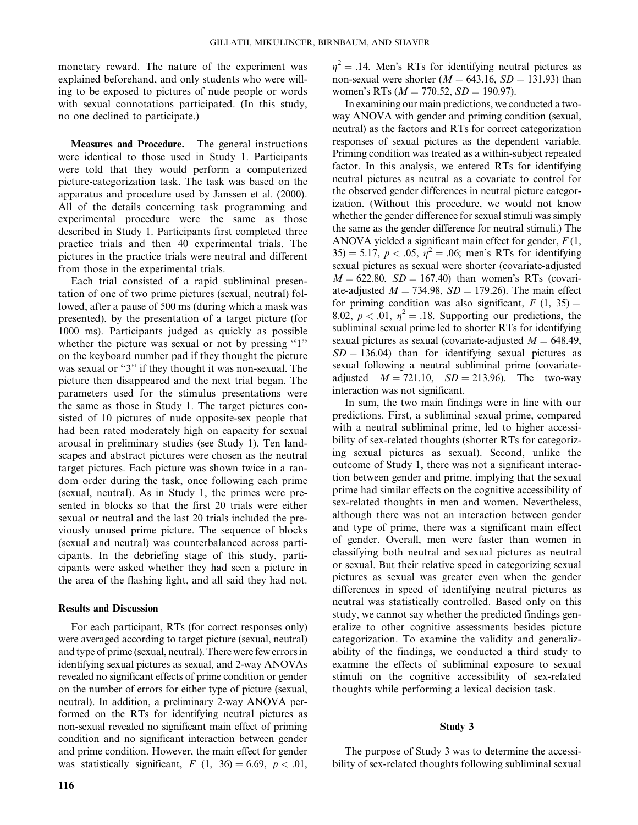monetary reward. The nature of the experiment was explained beforehand, and only students who were willing to be exposed to pictures of nude people or words with sexual connotations participated. (In this study, no one declined to participate.)

Measures and Procedure. The general instructions were identical to those used in Study 1. Participants were told that they would perform a computerized picture-categorization task. The task was based on the apparatus and procedure used by Janssen et al. (2000). All of the details concerning task programming and experimental procedure were the same as those described in Study 1. Participants first completed three practice trials and then 40 experimental trials. The pictures in the practice trials were neutral and different from those in the experimental trials.

Each trial consisted of a rapid subliminal presentation of one of two prime pictures (sexual, neutral) followed, after a pause of 500 ms (during which a mask was presented), by the presentation of a target picture (for 1000 ms). Participants judged as quickly as possible whether the picture was sexual or not by pressing "1" on the keyboard number pad if they thought the picture was sexual or "3" if they thought it was non-sexual. The picture then disappeared and the next trial began. The parameters used for the stimulus presentations were the same as those in Study 1. The target pictures consisted of 10 pictures of nude opposite-sex people that had been rated moderately high on capacity for sexual arousal in preliminary studies (see Study 1). Ten landscapes and abstract pictures were chosen as the neutral target pictures. Each picture was shown twice in a random order during the task, once following each prime (sexual, neutral). As in Study 1, the primes were presented in blocks so that the first 20 trials were either sexual or neutral and the last 20 trials included the previously unused prime picture. The sequence of blocks (sexual and neutral) was counterbalanced across participants. In the debriefing stage of this study, participants were asked whether they had seen a picture in the area of the flashing light, and all said they had not.

### Results and Discussion

For each participant, RTs (for correct responses only) were averaged according to target picture (sexual, neutral) and type of prime (sexual, neutral). There were few errors in identifying sexual pictures as sexual, and 2-way ANOVAs revealed no significant effects of prime condition or gender on the number of errors for either type of picture (sexual, neutral). In addition, a preliminary 2-way ANOVA performed on the RTs for identifying neutral pictures as non-sexual revealed no significant main effect of priming condition and no significant interaction between gender and prime condition. However, the main effect for gender was statistically significant,  $F(1, 36) = 6.69, p < .01,$   $\eta^2 = .14$ . Men's RTs for identifying neutral pictures as non-sexual were shorter ( $M = 643.16$ ,  $SD = 131.93$ ) than women's RTs ( $M = 770.52$ ,  $SD = 190.97$ ).

In examining our main predictions, we conducted a twoway ANOVA with gender and priming condition (sexual, neutral) as the factors and RTs for correct categorization responses of sexual pictures as the dependent variable. Priming condition was treated as a within-subject repeated factor. In this analysis, we entered RTs for identifying neutral pictures as neutral as a covariate to control for the observed gender differences in neutral picture categorization. (Without this procedure, we would not know whether the gender difference for sexual stimuli was simply the same as the gender difference for neutral stimuli.) The ANOVA yielded a significant main effect for gender,  $F(1, 1)$  $35$ ) = 5.17,  $p < .05$ ,  $\eta^2$  = .06; men's RTs for identifying sexual pictures as sexual were shorter (covariate-adjusted  $M = 622.80$ ,  $SD = 167.40$ ) than women's RTs (covariate-adjusted  $M = 734.98$ ,  $SD = 179.26$ ). The main effect for priming condition was also significant,  $F(1, 35) =$ 8.02,  $p < .01$ ,  $\eta^2 = .18$ . Supporting our predictions, the subliminal sexual prime led to shorter RTs for identifying sexual pictures as sexual (covariate-adjusted  $M = 648.49$ ,  $SD = 136.04$ ) than for identifying sexual pictures as sexual following a neutral subliminal prime (covariateadjusted  $M = 721.10$ ,  $SD = 213.96$ ). The two-way interaction was not significant.

In sum, the two main findings were in line with our predictions. First, a subliminal sexual prime, compared with a neutral subliminal prime, led to higher accessibility of sex-related thoughts (shorter RTs for categorizing sexual pictures as sexual). Second, unlike the outcome of Study 1, there was not a significant interaction between gender and prime, implying that the sexual prime had similar effects on the cognitive accessibility of sex-related thoughts in men and women. Nevertheless, although there was not an interaction between gender and type of prime, there was a significant main effect of gender. Overall, men were faster than women in classifying both neutral and sexual pictures as neutral or sexual. But their relative speed in categorizing sexual pictures as sexual was greater even when the gender differences in speed of identifying neutral pictures as neutral was statistically controlled. Based only on this study, we cannot say whether the predicted findings generalize to other cognitive assessments besides picture categorization. To examine the validity and generalizability of the findings, we conducted a third study to examine the effects of subliminal exposure to sexual stimuli on the cognitive accessibility of sex-related thoughts while performing a lexical decision task.

#### Study 3

The purpose of Study 3 was to determine the accessibility of sex-related thoughts following subliminal sexual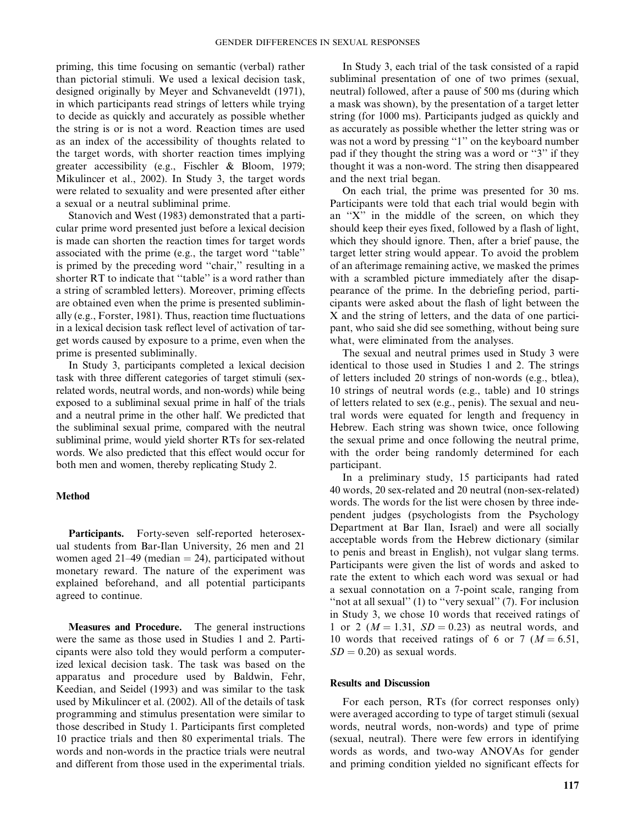priming, this time focusing on semantic (verbal) rather than pictorial stimuli. We used a lexical decision task, designed originally by Meyer and Schvaneveldt (1971), in which participants read strings of letters while trying to decide as quickly and accurately as possible whether the string is or is not a word. Reaction times are used as an index of the accessibility of thoughts related to the target words, with shorter reaction times implying greater accessibility (e.g., Fischler & Bloom, 1979; Mikulincer et al., 2002). In Study 3, the target words were related to sexuality and were presented after either a sexual or a neutral subliminal prime.

Stanovich and West (1983) demonstrated that a particular prime word presented just before a lexical decision is made can shorten the reaction times for target words associated with the prime (e.g., the target word ''table'' is primed by the preceding word ''chair,'' resulting in a shorter RT to indicate that ''table'' is a word rather than a string of scrambled letters). Moreover, priming effects are obtained even when the prime is presented subliminally (e.g., Forster, 1981). Thus, reaction time fluctuations in a lexical decision task reflect level of activation of target words caused by exposure to a prime, even when the prime is presented subliminally.

In Study 3, participants completed a lexical decision task with three different categories of target stimuli (sexrelated words, neutral words, and non-words) while being exposed to a subliminal sexual prime in half of the trials and a neutral prime in the other half. We predicted that the subliminal sexual prime, compared with the neutral subliminal prime, would yield shorter RTs for sex-related words. We also predicted that this effect would occur for both men and women, thereby replicating Study 2.

## Method

Participants. Forty-seven self-reported heterosexual students from Bar-Ilan University, 26 men and 21 women aged  $21-49$  (median  $= 24$ ), participated without monetary reward. The nature of the experiment was explained beforehand, and all potential participants agreed to continue.

Measures and Procedure. The general instructions were the same as those used in Studies 1 and 2. Participants were also told they would perform a computerized lexical decision task. The task was based on the apparatus and procedure used by Baldwin, Fehr, Keedian, and Seidel (1993) and was similar to the task used by Mikulincer et al. (2002). All of the details of task programming and stimulus presentation were similar to those described in Study 1. Participants first completed 10 practice trials and then 80 experimental trials. The words and non-words in the practice trials were neutral and different from those used in the experimental trials.

In Study 3, each trial of the task consisted of a rapid subliminal presentation of one of two primes (sexual, neutral) followed, after a pause of 500 ms (during which a mask was shown), by the presentation of a target letter string (for 1000 ms). Participants judged as quickly and as accurately as possible whether the letter string was or was not a word by pressing ''1'' on the keyboard number pad if they thought the string was a word or ''3'' if they thought it was a non-word. The string then disappeared and the next trial began.

On each trial, the prime was presented for 30 ms. Participants were told that each trial would begin with an ''X'' in the middle of the screen, on which they should keep their eyes fixed, followed by a flash of light, which they should ignore. Then, after a brief pause, the target letter string would appear. To avoid the problem of an afterimage remaining active, we masked the primes with a scrambled picture immediately after the disappearance of the prime. In the debriefing period, participants were asked about the flash of light between the X and the string of letters, and the data of one participant, who said she did see something, without being sure what, were eliminated from the analyses.

The sexual and neutral primes used in Study 3 were identical to those used in Studies 1 and 2. The strings of letters included 20 strings of non-words (e.g., btlea), 10 strings of neutral words (e.g., table) and 10 strings of letters related to sex (e.g., penis). The sexual and neutral words were equated for length and frequency in Hebrew. Each string was shown twice, once following the sexual prime and once following the neutral prime, with the order being randomly determined for each participant.

In a preliminary study, 15 participants had rated 40 words, 20 sex-related and 20 neutral (non-sex-related) words. The words for the list were chosen by three independent judges (psychologists from the Psychology Department at Bar Ilan, Israel) and were all socially acceptable words from the Hebrew dictionary (similar to penis and breast in English), not vulgar slang terms. Participants were given the list of words and asked to rate the extent to which each word was sexual or had a sexual connotation on a 7-point scale, ranging from "not at all sexual" (1) to "very sexual" (7). For inclusion in Study 3, we chose 10 words that received ratings of 1 or 2 ( $M = 1.31$ ,  $SD = 0.23$ ) as neutral words, and 10 words that received ratings of 6 or 7 ( $M = 6.51$ ,  $SD = 0.20$  as sexual words.

## Results and Discussion

For each person, RTs (for correct responses only) were averaged according to type of target stimuli (sexual words, neutral words, non-words) and type of prime (sexual, neutral). There were few errors in identifying words as words, and two-way ANOVAs for gender and priming condition yielded no significant effects for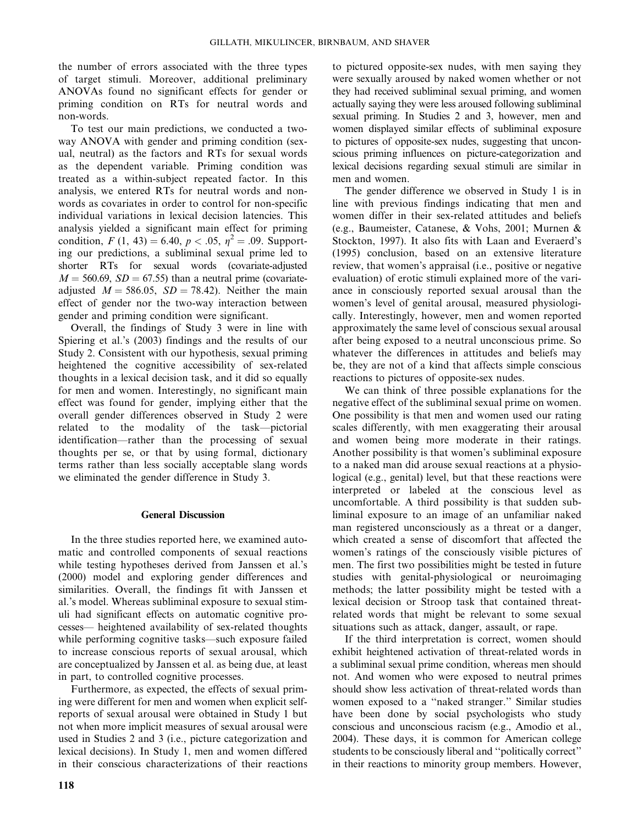the number of errors associated with the three types of target stimuli. Moreover, additional preliminary ANOVAs found no significant effects for gender or priming condition on RTs for neutral words and non-words.

To test our main predictions, we conducted a twoway ANOVA with gender and priming condition (sexual, neutral) as the factors and RTs for sexual words as the dependent variable. Priming condition was treated as a within-subject repeated factor. In this analysis, we entered RTs for neutral words and nonwords as covariates in order to control for non-specific individual variations in lexical decision latencies. This analysis yielded a significant main effect for priming condition,  $F(1, 43) = 6.40, p < .05, \eta^2 = .09$ . Supporting our predictions, a subliminal sexual prime led to shorter RTs for sexual words (covariate-adjusted  $M = 560.69$ ,  $SD = 67.55$ ) than a neutral prime (covariateadjusted  $M = 586.05$ ,  $SD = 78.42$ ). Neither the main effect of gender nor the two-way interaction between gender and priming condition were significant.

Overall, the findings of Study 3 were in line with Spiering et al.'s (2003) findings and the results of our Study 2. Consistent with our hypothesis, sexual priming heightened the cognitive accessibility of sex-related thoughts in a lexical decision task, and it did so equally for men and women. Interestingly, no significant main effect was found for gender, implying either that the overall gender differences observed in Study 2 were related to the modality of the task—pictorial identification—rather than the processing of sexual thoughts per se, or that by using formal, dictionary terms rather than less socially acceptable slang words we eliminated the gender difference in Study 3.

## General Discussion

In the three studies reported here, we examined automatic and controlled components of sexual reactions while testing hypotheses derived from Janssen et al.'s (2000) model and exploring gender differences and similarities. Overall, the findings fit with Janssen et al.'s model. Whereas subliminal exposure to sexual stimuli had significant effects on automatic cognitive processes— heightened availability of sex-related thoughts while performing cognitive tasks—such exposure failed to increase conscious reports of sexual arousal, which are conceptualized by Janssen et al. as being due, at least in part, to controlled cognitive processes.

Furthermore, as expected, the effects of sexual priming were different for men and women when explicit selfreports of sexual arousal were obtained in Study 1 but not when more implicit measures of sexual arousal were used in Studies 2 and 3 (i.e., picture categorization and lexical decisions). In Study 1, men and women differed in their conscious characterizations of their reactions to pictured opposite-sex nudes, with men saying they were sexually aroused by naked women whether or not they had received subliminal sexual priming, and women actually saying they were less aroused following subliminal sexual priming. In Studies 2 and 3, however, men and women displayed similar effects of subliminal exposure to pictures of opposite-sex nudes, suggesting that unconscious priming influences on picture-categorization and lexical decisions regarding sexual stimuli are similar in men and women.

The gender difference we observed in Study 1 is in line with previous findings indicating that men and women differ in their sex-related attitudes and beliefs (e.g., Baumeister, Catanese, & Vohs, 2001; Murnen & Stockton, 1997). It also fits with Laan and Everaerd's (1995) conclusion, based on an extensive literature review, that women's appraisal (i.e., positive or negative evaluation) of erotic stimuli explained more of the variance in consciously reported sexual arousal than the women's level of genital arousal, measured physiologically. Interestingly, however, men and women reported approximately the same level of conscious sexual arousal after being exposed to a neutral unconscious prime. So whatever the differences in attitudes and beliefs may be, they are not of a kind that affects simple conscious reactions to pictures of opposite-sex nudes.

We can think of three possible explanations for the negative effect of the subliminal sexual prime on women. One possibility is that men and women used our rating scales differently, with men exaggerating their arousal and women being more moderate in their ratings. Another possibility is that women's subliminal exposure to a naked man did arouse sexual reactions at a physiological (e.g., genital) level, but that these reactions were interpreted or labeled at the conscious level as uncomfortable. A third possibility is that sudden subliminal exposure to an image of an unfamiliar naked man registered unconsciously as a threat or a danger, which created a sense of discomfort that affected the women's ratings of the consciously visible pictures of men. The first two possibilities might be tested in future studies with genital-physiological or neuroimaging methods; the latter possibility might be tested with a lexical decision or Stroop task that contained threatrelated words that might be relevant to some sexual situations such as attack, danger, assault, or rape.

If the third interpretation is correct, women should exhibit heightened activation of threat-related words in a subliminal sexual prime condition, whereas men should not. And women who were exposed to neutral primes should show less activation of threat-related words than women exposed to a ''naked stranger.'' Similar studies have been done by social psychologists who study conscious and unconscious racism (e.g., Amodio et al., 2004). These days, it is common for American college students to be consciously liberal and ''politically correct'' in their reactions to minority group members. However,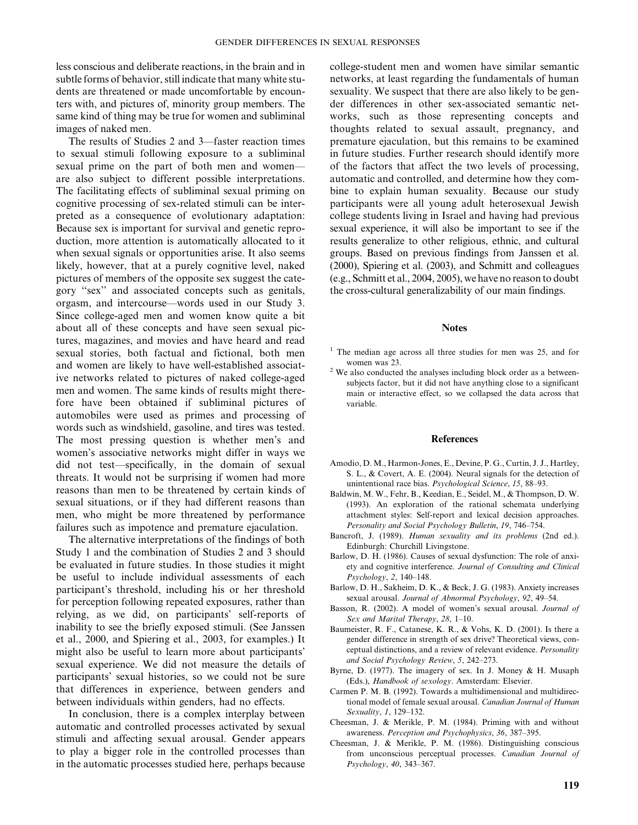less conscious and deliberate reactions, in the brain and in subtle forms of behavior, still indicate that many white students are threatened or made uncomfortable by encounters with, and pictures of, minority group members. The same kind of thing may be true for women and subliminal images of naked men.

The results of Studies 2 and 3—faster reaction times to sexual stimuli following exposure to a subliminal sexual prime on the part of both men and women are also subject to different possible interpretations. The facilitating effects of subliminal sexual priming on cognitive processing of sex-related stimuli can be interpreted as a consequence of evolutionary adaptation: Because sex is important for survival and genetic reproduction, more attention is automatically allocated to it when sexual signals or opportunities arise. It also seems likely, however, that at a purely cognitive level, naked pictures of members of the opposite sex suggest the category ''sex'' and associated concepts such as genitals, orgasm, and intercourse—words used in our Study 3. Since college-aged men and women know quite a bit about all of these concepts and have seen sexual pictures, magazines, and movies and have heard and read sexual stories, both factual and fictional, both men and women are likely to have well-established associative networks related to pictures of naked college-aged men and women. The same kinds of results might therefore have been obtained if subliminal pictures of automobiles were used as primes and processing of words such as windshield, gasoline, and tires was tested. The most pressing question is whether men's and women's associative networks might differ in ways we did not test—specifically, in the domain of sexual threats. It would not be surprising if women had more reasons than men to be threatened by certain kinds of sexual situations, or if they had different reasons than men, who might be more threatened by performance failures such as impotence and premature ejaculation.

The alternative interpretations of the findings of both Study 1 and the combination of Studies 2 and 3 should be evaluated in future studies. In those studies it might be useful to include individual assessments of each participant's threshold, including his or her threshold for perception following repeated exposures, rather than relying, as we did, on participants' self-reports of inability to see the briefly exposed stimuli. (See Janssen et al., 2000, and Spiering et al., 2003, for examples.) It might also be useful to learn more about participants' sexual experience. We did not measure the details of participants' sexual histories, so we could not be sure that differences in experience, between genders and between individuals within genders, had no effects.

In conclusion, there is a complex interplay between automatic and controlled processes activated by sexual stimuli and affecting sexual arousal. Gender appears to play a bigger role in the controlled processes than in the automatic processes studied here, perhaps because college-student men and women have similar semantic networks, at least regarding the fundamentals of human sexuality. We suspect that there are also likely to be gender differences in other sex-associated semantic networks, such as those representing concepts and thoughts related to sexual assault, pregnancy, and premature ejaculation, but this remains to be examined in future studies. Further research should identify more of the factors that affect the two levels of processing, automatic and controlled, and determine how they combine to explain human sexuality. Because our study participants were all young adult heterosexual Jewish college students living in Israel and having had previous sexual experience, it will also be important to see if the results generalize to other religious, ethnic, and cultural groups. Based on previous findings from Janssen et al. (2000), Spiering et al. (2003), and Schmitt and colleagues (e.g., Schmitt et al., 2004, 2005), we have no reason to doubt the cross-cultural generalizability of our main findings.

#### **Notes**

- $1$  The median age across all three studies for men was 25, and for women was 23.
- <sup>2</sup> We also conducted the analyses including block order as a betweensubjects factor, but it did not have anything close to a significant main or interactive effect, so we collapsed the data across that variable.

#### References

- Amodio, D. M., Harmon-Jones, E., Devine, P. G., Curtin, J. J., Hartley, S. L., & Covert, A. E. (2004). Neural signals for the detection of unintentional race bias. Psychological Science, 15, 88–93.
- Baldwin, M. W., Fehr, B., Keedian, E., Seidel, M., & Thompson, D. W. (1993). An exploration of the rational schemata underlying attachment styles: Self-report and lexical decision approaches. Personality and Social Psychology Bulletin, 19, 746–754.
- Bancroft, J. (1989). Human sexuality and its problems (2nd ed.). Edinburgh: Churchill Livingstone.
- Barlow, D. H. (1986). Causes of sexual dysfunction: The role of anxiety and cognitive interference. Journal of Consulting and Clinical Psychology, 2, 140–148.
- Barlow, D. H., Sakheim, D. K., & Beck, J. G. (1983). Anxiety increases sexual arousal. Journal of Abnormal Psychology, 92, 49-54.
- Basson, R. (2002). A model of women's sexual arousal. Journal of Sex and Marital Therapy, 28, 1–10.
- Baumeister, R. F., Catanese, K. R., & Vohs, K. D. (2001). Is there a gender difference in strength of sex drive? Theoretical views, conceptual distinctions, and a review of relevant evidence. Personality and Social Psychology Review, 5, 242–273.
- Byrne, D. (1977). The imagery of sex. In J. Money & H. Musaph (Eds.), Handbook of sexology. Amsterdam: Elsevier.
- Carmen P. M. B. (1992). Towards a multidimensional and multidirectional model of female sexual arousal. Canadian Journal of Human Sexuality, 1, 129–132.
- Cheesman, J. & Merikle, P. M. (1984). Priming with and without awareness. Perception and Psychophysics, 36, 387–395.
- Cheesman, J. & Merikle, P. M. (1986). Distinguishing conscious from unconscious perceptual processes. Canadian Journal of Psychology, 40, 343–367.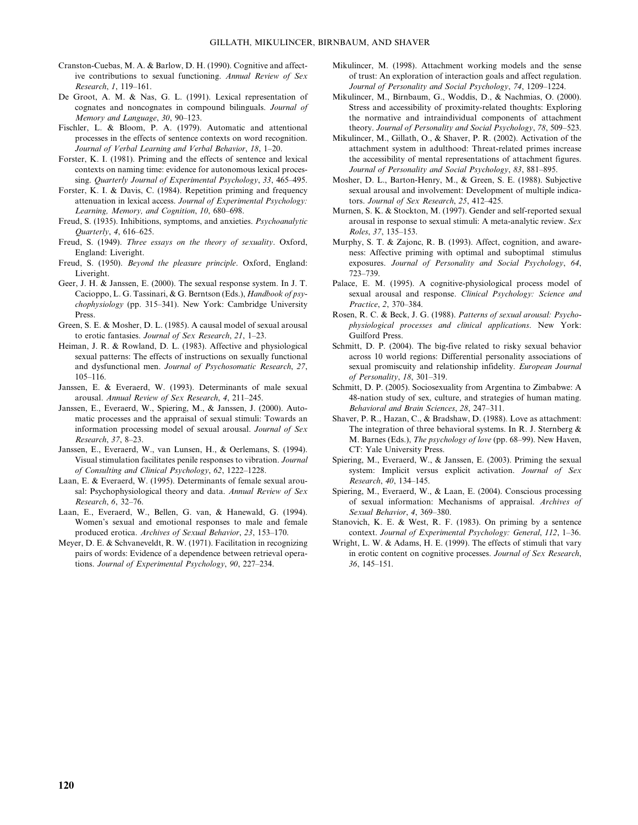- Cranston-Cuebas, M. A. & Barlow, D. H. (1990). Cognitive and affective contributions to sexual functioning. Annual Review of Sex Research, 1, 119–161.
- De Groot, A. M. & Nas, G. L. (1991). Lexical representation of cognates and noncognates in compound bilinguals. Journal of Memory and Language, 30, 90–123.
- Fischler, L. & Bloom, P. A. (1979). Automatic and attentional processes in the effects of sentence contexts on word recognition. Journal of Verbal Learning and Verbal Behavior, 18, 1–20.
- Forster, K. I. (1981). Priming and the effects of sentence and lexical contexts on naming time: evidence for autonomous lexical processing. Quarterly Journal of Experimental Psychology, 33, 465–495.
- Forster, K. I. & Davis, C. (1984). Repetition priming and frequency attenuation in lexical access. Journal of Experimental Psychology: Learning, Memory, and Cognition, 10, 680–698.
- Freud, S. (1935). Inhibitions, symptoms, and anxieties. Psychoanalytic Quarterly, 4, 616–625.
- Freud, S. (1949). Three essays on the theory of sexuality. Oxford, England: Liveright.
- Freud, S. (1950). Beyond the pleasure principle. Oxford, England: Liveright.
- Geer, J. H. & Janssen, E. (2000). The sexual response system. In J. T. Cacioppo, L. G. Tassinari, & G. Berntson (Eds.), Handbook of psychophysiology (pp. 315–341). New York: Cambridge University Press.
- Green, S. E. & Mosher, D. L. (1985). A causal model of sexual arousal to erotic fantasies. Journal of Sex Research, 21, 1–23.
- Heiman, J. R. & Rowland, D. L. (1983). Affective and physiological sexual patterns: The effects of instructions on sexually functional and dysfunctional men. Journal of Psychosomatic Research, 27, 105–116.
- Janssen, E. & Everaerd, W. (1993). Determinants of male sexual arousal. Annual Review of Sex Research, 4, 211–245.
- Janssen, E., Everaerd, W., Spiering, M., & Janssen, J. (2000). Automatic processes and the appraisal of sexual stimuli: Towards an information processing model of sexual arousal. Journal of Sex Research, 37, 8–23.
- Janssen, E., Everaerd, W., van Lunsen, H., & Oerlemans, S. (1994). Visual stimulation facilitates penile responses to vibration. Journal of Consulting and Clinical Psychology, 62, 1222–1228.
- Laan, E. & Everaerd, W. (1995). Determinants of female sexual arousal: Psychophysiological theory and data. Annual Review of Sex Research, 6, 32–76.
- Laan, E., Everaerd, W., Bellen, G. van, & Hanewald, G. (1994). Women's sexual and emotional responses to male and female produced erotica. Archives of Sexual Behavior, 23, 153–170.
- Meyer, D. E. & Schvaneveldt, R. W. (1971). Facilitation in recognizing pairs of words: Evidence of a dependence between retrieval operations. Journal of Experimental Psychology, 90, 227–234.
- Mikulincer, M. (1998). Attachment working models and the sense of trust: An exploration of interaction goals and affect regulation. Journal of Personality and Social Psychology, 74, 1209–1224.
- Mikulincer, M., Birnbaum, G., Woddis, D., & Nachmias, O. (2000). Stress and accessibility of proximity-related thoughts: Exploring the normative and intraindividual components of attachment theory. Journal of Personality and Social Psychology, 78, 509–523.
- Mikulincer, M., Gillath, O., & Shaver, P. R. (2002). Activation of the attachment system in adulthood: Threat-related primes increase the accessibility of mental representations of attachment figures. Journal of Personality and Social Psychology, 83, 881–895.
- Mosher, D. L., Barton-Henry, M., & Green, S. E. (1988). Subjective sexual arousal and involvement: Development of multiple indicators. Journal of Sex Research, 25, 412–425.
- Murnen, S. K. & Stockton, M. (1997). Gender and self-reported sexual arousal in response to sexual stimuli: A meta-analytic review. Sex Roles, 37, 135–153.
- Murphy, S. T. & Zajonc, R. B. (1993). Affect, cognition, and awareness: Affective priming with optimal and suboptimal stimulus exposures. Journal of Personality and Social Psychology, 64, 723–739.
- Palace, E. M. (1995). A cognitive-physiological process model of sexual arousal and response. Clinical Psychology: Science and Practice, 2, 370–384.
- Rosen, R. C. & Beck, J. G. (1988). Patterns of sexual arousal: Psychophysiological processes and clinical applications. New York: Guilford Press.
- Schmitt, D. P. (2004). The big-five related to risky sexual behavior across 10 world regions: Differential personality associations of sexual promiscuity and relationship infidelity. European Journal of Personality, 18, 301–319.
- Schmitt, D. P. (2005). Sociosexuality from Argentina to Zimbabwe: A 48-nation study of sex, culture, and strategies of human mating. Behavioral and Brain Sciences, 28, 247–311.
- Shaver, P. R., Hazan, C., & Bradshaw, D. (1988). Love as attachment: The integration of three behavioral systems. In R. J. Sternberg & M. Barnes (Eds.), The psychology of love (pp. 68–99). New Haven, CT: Yale University Press.
- Spiering, M., Everaerd, W., & Janssen, E. (2003). Priming the sexual system: Implicit versus explicit activation. Journal of Sex Research, 40, 134–145.
- Spiering, M., Everaerd, W., & Laan, E. (2004). Conscious processing of sexual information: Mechanisms of appraisal. Archives of Sexual Behavior, 4, 369–380.
- Stanovich, K. E. & West, R. F. (1983). On priming by a sentence context. Journal of Experimental Psychology: General, 112, 1–36.
- Wright, L. W. & Adams, H. E. (1999). The effects of stimuli that vary in erotic content on cognitive processes. Journal of Sex Research, 36, 145–151.